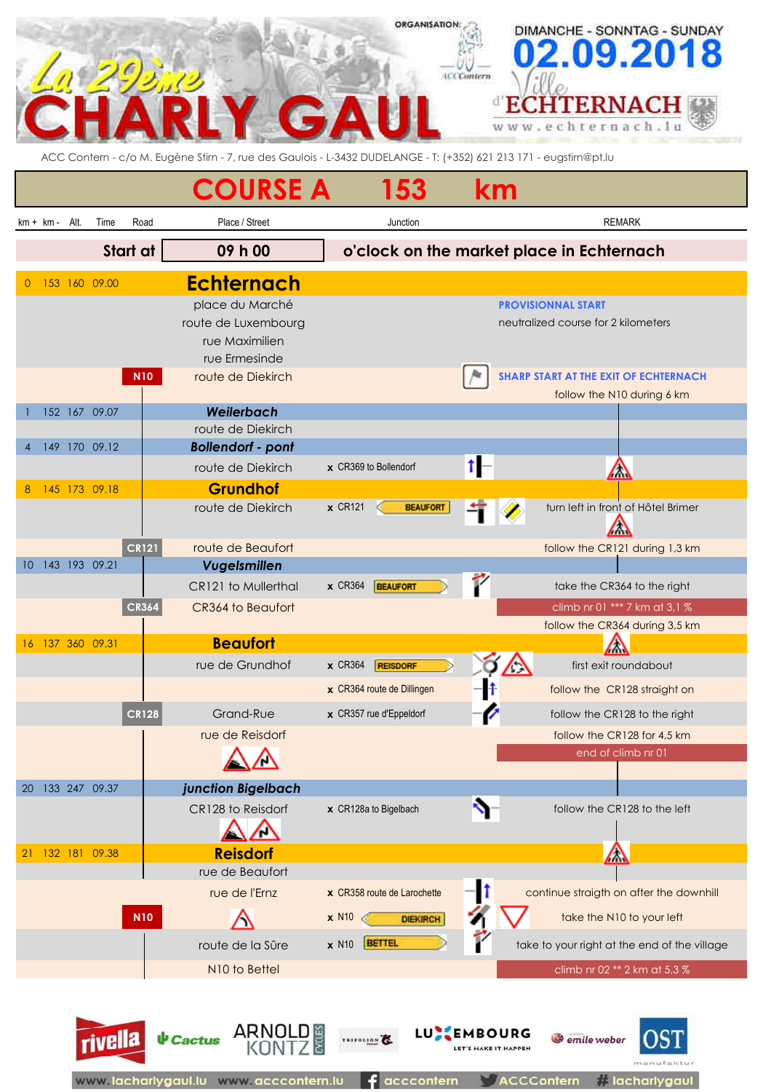| <b>LCCContern</b><br><b>ERNAC</b><br>$\ddot{\bullet}$<br>ww.echternach<br>ACC Contern - c/o M. Eugène Stirn - 7, rue des Gaulois - L-3432 DUDELANGE - T: (+352) 621 213 171 - eugstirn@pt.lu<br><b>COURSE A</b><br>153<br>km<br>Place / Street<br>Road<br><b>REMARK</b><br>$km + km -$<br>Alt.<br>Time<br>Junction<br>Start at<br>09 h 00<br>o'clock on the market place in Echternach<br><b>Echternach</b><br>153 160 09.00<br>0<br>place du Marché<br><b>PROVISIONNAL START</b><br>route de Luxembourg<br>neutralized course for 2 kilometers<br>rue Maximilien<br>rue Ermesinde<br>route de Diekirch<br>SHARP START AT THE EXIT OF ECHTERNACH<br><b>N10</b><br>follow the N10 during 6 km<br>Weilerbach<br>152 167 09.07<br>route de Diekirch<br>149 170 09.12<br><b>Bollendorf - pont</b><br>route de Diekirch<br>x CR369 to Bollendorf<br>$\sqrt{\Lambda}$<br><b>Grundhof</b><br>145 173 09.18<br>8<br>route de Diekirch<br>$x$ CR121<br><b>BEAUFORT</b><br>turn left in front of Hôtel Brimer<br><b>CR121</b><br>route de Beaufort<br>follow the CR121 during 1,3 km<br>143 193 09.21<br>Vugelsmillen<br>10<br>CR121 to Mullerthal<br>take the CR364 to the right<br>$x$ CR364<br><b>BEAUFORT</b><br><b>CR364</b><br>CR364 to Beaufort<br>climb nr 01 *** 7 km at 3,1 % | DIMANCHE - SONNTAG - SUNDAY<br>2.09.201 |
|-------------------------------------------------------------------------------------------------------------------------------------------------------------------------------------------------------------------------------------------------------------------------------------------------------------------------------------------------------------------------------------------------------------------------------------------------------------------------------------------------------------------------------------------------------------------------------------------------------------------------------------------------------------------------------------------------------------------------------------------------------------------------------------------------------------------------------------------------------------------------------------------------------------------------------------------------------------------------------------------------------------------------------------------------------------------------------------------------------------------------------------------------------------------------------------------------------------------------------------------------------------------------------|-----------------------------------------|
|                                                                                                                                                                                                                                                                                                                                                                                                                                                                                                                                                                                                                                                                                                                                                                                                                                                                                                                                                                                                                                                                                                                                                                                                                                                                               |                                         |
|                                                                                                                                                                                                                                                                                                                                                                                                                                                                                                                                                                                                                                                                                                                                                                                                                                                                                                                                                                                                                                                                                                                                                                                                                                                                               |                                         |
|                                                                                                                                                                                                                                                                                                                                                                                                                                                                                                                                                                                                                                                                                                                                                                                                                                                                                                                                                                                                                                                                                                                                                                                                                                                                               |                                         |
|                                                                                                                                                                                                                                                                                                                                                                                                                                                                                                                                                                                                                                                                                                                                                                                                                                                                                                                                                                                                                                                                                                                                                                                                                                                                               |                                         |
|                                                                                                                                                                                                                                                                                                                                                                                                                                                                                                                                                                                                                                                                                                                                                                                                                                                                                                                                                                                                                                                                                                                                                                                                                                                                               |                                         |
|                                                                                                                                                                                                                                                                                                                                                                                                                                                                                                                                                                                                                                                                                                                                                                                                                                                                                                                                                                                                                                                                                                                                                                                                                                                                               |                                         |
|                                                                                                                                                                                                                                                                                                                                                                                                                                                                                                                                                                                                                                                                                                                                                                                                                                                                                                                                                                                                                                                                                                                                                                                                                                                                               |                                         |
|                                                                                                                                                                                                                                                                                                                                                                                                                                                                                                                                                                                                                                                                                                                                                                                                                                                                                                                                                                                                                                                                                                                                                                                                                                                                               |                                         |
|                                                                                                                                                                                                                                                                                                                                                                                                                                                                                                                                                                                                                                                                                                                                                                                                                                                                                                                                                                                                                                                                                                                                                                                                                                                                               |                                         |
|                                                                                                                                                                                                                                                                                                                                                                                                                                                                                                                                                                                                                                                                                                                                                                                                                                                                                                                                                                                                                                                                                                                                                                                                                                                                               |                                         |
|                                                                                                                                                                                                                                                                                                                                                                                                                                                                                                                                                                                                                                                                                                                                                                                                                                                                                                                                                                                                                                                                                                                                                                                                                                                                               |                                         |
|                                                                                                                                                                                                                                                                                                                                                                                                                                                                                                                                                                                                                                                                                                                                                                                                                                                                                                                                                                                                                                                                                                                                                                                                                                                                               |                                         |
|                                                                                                                                                                                                                                                                                                                                                                                                                                                                                                                                                                                                                                                                                                                                                                                                                                                                                                                                                                                                                                                                                                                                                                                                                                                                               |                                         |
|                                                                                                                                                                                                                                                                                                                                                                                                                                                                                                                                                                                                                                                                                                                                                                                                                                                                                                                                                                                                                                                                                                                                                                                                                                                                               |                                         |
|                                                                                                                                                                                                                                                                                                                                                                                                                                                                                                                                                                                                                                                                                                                                                                                                                                                                                                                                                                                                                                                                                                                                                                                                                                                                               |                                         |
|                                                                                                                                                                                                                                                                                                                                                                                                                                                                                                                                                                                                                                                                                                                                                                                                                                                                                                                                                                                                                                                                                                                                                                                                                                                                               |                                         |
|                                                                                                                                                                                                                                                                                                                                                                                                                                                                                                                                                                                                                                                                                                                                                                                                                                                                                                                                                                                                                                                                                                                                                                                                                                                                               |                                         |
|                                                                                                                                                                                                                                                                                                                                                                                                                                                                                                                                                                                                                                                                                                                                                                                                                                                                                                                                                                                                                                                                                                                                                                                                                                                                               |                                         |
|                                                                                                                                                                                                                                                                                                                                                                                                                                                                                                                                                                                                                                                                                                                                                                                                                                                                                                                                                                                                                                                                                                                                                                                                                                                                               |                                         |
|                                                                                                                                                                                                                                                                                                                                                                                                                                                                                                                                                                                                                                                                                                                                                                                                                                                                                                                                                                                                                                                                                                                                                                                                                                                                               |                                         |
|                                                                                                                                                                                                                                                                                                                                                                                                                                                                                                                                                                                                                                                                                                                                                                                                                                                                                                                                                                                                                                                                                                                                                                                                                                                                               |                                         |
|                                                                                                                                                                                                                                                                                                                                                                                                                                                                                                                                                                                                                                                                                                                                                                                                                                                                                                                                                                                                                                                                                                                                                                                                                                                                               |                                         |
|                                                                                                                                                                                                                                                                                                                                                                                                                                                                                                                                                                                                                                                                                                                                                                                                                                                                                                                                                                                                                                                                                                                                                                                                                                                                               |                                         |
| follow the CR364 during 3,5 km                                                                                                                                                                                                                                                                                                                                                                                                                                                                                                                                                                                                                                                                                                                                                                                                                                                                                                                                                                                                                                                                                                                                                                                                                                                |                                         |
| <b>Beaufort</b><br>16 137 360 09.31<br>ΛW                                                                                                                                                                                                                                                                                                                                                                                                                                                                                                                                                                                                                                                                                                                                                                                                                                                                                                                                                                                                                                                                                                                                                                                                                                     |                                         |
| rue de Grundhof<br>$\times$ CR364<br><b>REISDORF</b><br>first exit roundabout                                                                                                                                                                                                                                                                                                                                                                                                                                                                                                                                                                                                                                                                                                                                                                                                                                                                                                                                                                                                                                                                                                                                                                                                 |                                         |
| x CR364 route de Dillingen<br>follow the CR128 straight on                                                                                                                                                                                                                                                                                                                                                                                                                                                                                                                                                                                                                                                                                                                                                                                                                                                                                                                                                                                                                                                                                                                                                                                                                    |                                         |
| <b>CR128</b><br>Grand-Rue<br>x CR357 rue d'Eppeldorf<br>follow the CR128 to the right                                                                                                                                                                                                                                                                                                                                                                                                                                                                                                                                                                                                                                                                                                                                                                                                                                                                                                                                                                                                                                                                                                                                                                                         |                                         |
| rue de Reisdorf<br>follow the CR128 for 4,5 km                                                                                                                                                                                                                                                                                                                                                                                                                                                                                                                                                                                                                                                                                                                                                                                                                                                                                                                                                                                                                                                                                                                                                                                                                                |                                         |
| end of climb nr 01                                                                                                                                                                                                                                                                                                                                                                                                                                                                                                                                                                                                                                                                                                                                                                                                                                                                                                                                                                                                                                                                                                                                                                                                                                                            |                                         |
|                                                                                                                                                                                                                                                                                                                                                                                                                                                                                                                                                                                                                                                                                                                                                                                                                                                                                                                                                                                                                                                                                                                                                                                                                                                                               |                                         |
| 133 247 09.37<br>junction Bigelbach<br>20                                                                                                                                                                                                                                                                                                                                                                                                                                                                                                                                                                                                                                                                                                                                                                                                                                                                                                                                                                                                                                                                                                                                                                                                                                     |                                         |
| CR128 to Reisdorf<br>x CR128a to Bigelbach<br>follow the CR128 to the left                                                                                                                                                                                                                                                                                                                                                                                                                                                                                                                                                                                                                                                                                                                                                                                                                                                                                                                                                                                                                                                                                                                                                                                                    |                                         |
|                                                                                                                                                                                                                                                                                                                                                                                                                                                                                                                                                                                                                                                                                                                                                                                                                                                                                                                                                                                                                                                                                                                                                                                                                                                                               |                                         |
| <b>Reisdorf</b><br>△<br>132 181 09.38<br>21<br>rue de Beaufort                                                                                                                                                                                                                                                                                                                                                                                                                                                                                                                                                                                                                                                                                                                                                                                                                                                                                                                                                                                                                                                                                                                                                                                                                |                                         |
| l1<br>rue de l'Ernz<br>x CR358 route de Larochette                                                                                                                                                                                                                                                                                                                                                                                                                                                                                                                                                                                                                                                                                                                                                                                                                                                                                                                                                                                                                                                                                                                                                                                                                            |                                         |
| continue straigth on after the downhill                                                                                                                                                                                                                                                                                                                                                                                                                                                                                                                                                                                                                                                                                                                                                                                                                                                                                                                                                                                                                                                                                                                                                                                                                                       |                                         |
| take the N10 to your left<br><b>N10</b><br>$x$ N <sub>10</sub><br>DIEKIRCH                                                                                                                                                                                                                                                                                                                                                                                                                                                                                                                                                                                                                                                                                                                                                                                                                                                                                                                                                                                                                                                                                                                                                                                                    |                                         |
| <b>BETTEL</b><br><b>x</b> N10<br>route de la Sûre<br>take to your right at the end of the village                                                                                                                                                                                                                                                                                                                                                                                                                                                                                                                                                                                                                                                                                                                                                                                                                                                                                                                                                                                                                                                                                                                                                                             |                                         |
| N10 to Bettel<br>climb nr 02 ** 2 km at 5,3 %                                                                                                                                                                                                                                                                                                                                                                                                                                                                                                                                                                                                                                                                                                                                                                                                                                                                                                                                                                                                                                                                                                                                                                                                                                 |                                         |
| LU -                                                                                                                                                                                                                                                                                                                                                                                                                                                                                                                                                                                                                                                                                                                                                                                                                                                                                                                                                                                                                                                                                                                                                                                                                                                                          |                                         |
| ARNOLD<br><b>EMBOURG</b><br><b>↓</b> Cactus<br><b>Comile</b> weber<br>TRIFOLION<br>rivella<br>LET'S MAKE IT HAPPEN<br>www.lacharlygaul.lu www.acccontern.lu<br><b>A</b> lacharlygaul<br>acccontern<br>ACCContern                                                                                                                                                                                                                                                                                                                                                                                                                                                                                                                                                                                                                                                                                                                                                                                                                                                                                                                                                                                                                                                              |                                         |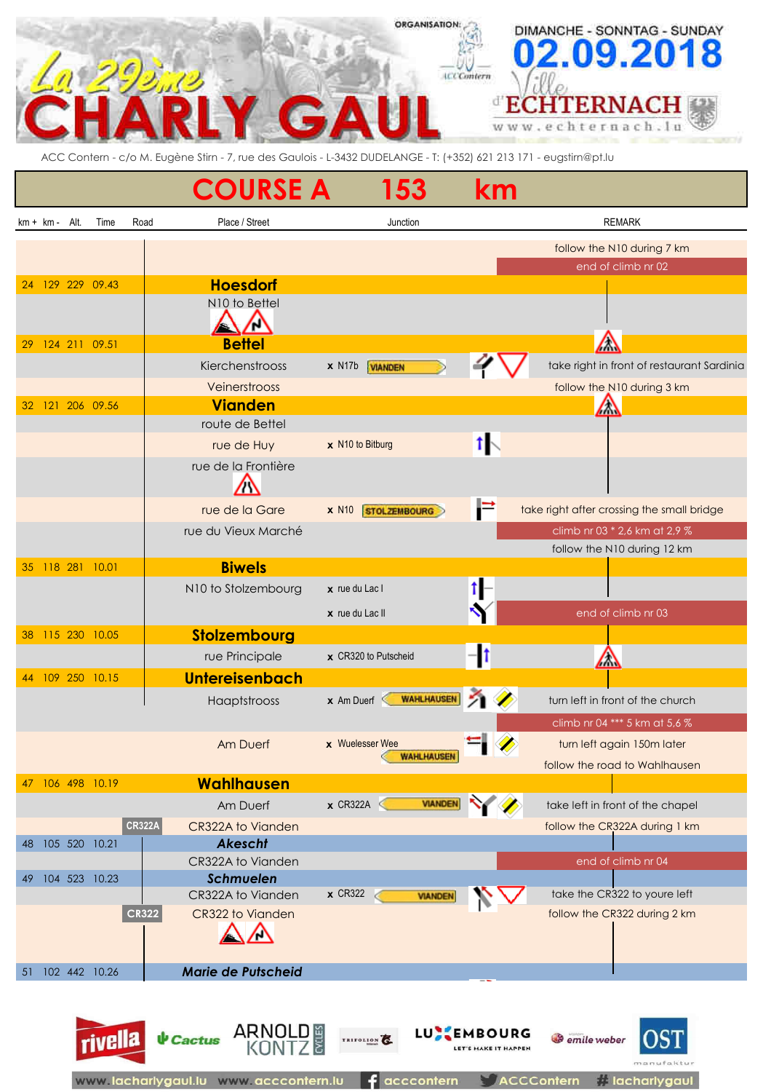### **ORGANISATION:** DIMANCHE - SONNTAG - SUNDAY 9.20 8 0 **ACCGmtern** ď **ECHTERNACH** chternach.lu W W W  $\alpha$ **STEP**

ACC Contern - c/o M. Eugène Stirn - 7, rue des Gaulois - L-3432 DUDELANGE - T: (+352) 621 213 171 - eugstirn@pt.lu

|                                   | <b>COURSE A</b>                | 153                                        | km         |                                            |
|-----------------------------------|--------------------------------|--------------------------------------------|------------|--------------------------------------------|
| $km + km - Alt$ .<br>Time<br>Road | Place / Street                 | Junction                                   |            | <b>REMARK</b>                              |
|                                   |                                |                                            |            | follow the N10 during 7 km                 |
|                                   |                                |                                            |            | end of climb nr 02                         |
| 129 229 09.43<br>24               | <b>Hoesdorf</b>                |                                            |            |                                            |
|                                   | N10 to Bettel<br><u>/ \</u>    |                                            |            |                                            |
| 124 211 09.51<br>29               | <b>Bettel</b>                  |                                            |            | Λ                                          |
|                                   | Kierchenstrooss                | x N17b <b>WANDEN</b>                       |            | take right in front of restaurant Sardinia |
|                                   | Veinerstrooss                  |                                            |            | follow the N10 during 3 km                 |
| 121 206 09.56<br>32               | <b>Vianden</b>                 |                                            |            | △                                          |
|                                   | route de Bettel                |                                            |            |                                            |
|                                   | rue de Huy                     | x N10 to Bitburg                           | $1\sqrt{}$ |                                            |
|                                   | rue de la Frontière            |                                            |            |                                            |
|                                   |                                |                                            |            |                                            |
|                                   | rue de la Gare                 | $x$ N <sub>10</sub><br><b>STOLZEMBOURG</b> | F          | take right after crossing the small bridge |
|                                   | rue du Vieux Marché            |                                            |            | climb nr 03 * 2,6 km at 2,9 %              |
|                                   |                                |                                            |            | follow the N10 during 12 km                |
| 118 281 10.01<br>35               | <b>Biwels</b>                  |                                            |            |                                            |
|                                   | N10 to Stolzembourg            | $x$ rue du Lac I                           |            |                                            |
|                                   |                                | x rue du Lac II                            |            | end of climb nr 03                         |
| 115 230 10.05<br>38               | Stolzembourg                   |                                            |            |                                            |
|                                   | rue Principale                 | x CR320 to Putscheid                       |            | $\sqrt{}$                                  |
| 44 109 250 10.15                  | <b>Untereisenbach</b>          |                                            |            |                                            |
|                                   | Haaptstrooss                   | <b>WAHLHAUSEN</b><br>$\times$ Am Duerf     | 21 W       | turn left in front of the church           |
|                                   |                                |                                            |            | climb nr 04 *** 5 km at 5,6 %              |
|                                   | Am Duerf                       | x Wuelesser Wee                            |            | turn left again 150m later                 |
|                                   |                                | <b>WAHLHAUSEN</b>                          |            | follow the road to Wahlhausen              |
| 106 498 10.19<br>47               | Wahlhausen                     |                                            |            |                                            |
|                                   | Am Duerf                       | $\times$ CR322A<br><b>VIANDEN</b>          |            | take left in front of the chapel           |
| <b>CR322A</b>                     | CR322A to Vianden              |                                            |            | follow the CR322A during 1 km              |
| 105 520 10.21<br>48               | <b>Akescht</b>                 |                                            |            |                                            |
|                                   | CR322A to Vianden              |                                            |            | end of climb nr 04                         |
| 104 523 10.23<br>49               | Schmuelen<br>CR322A to Vianden | <b>x</b> CR322<br><b>VIANDEN</b>           |            | take the CR322 to youre left               |
| CR322                             | CR322 to Vianden               |                                            |            | follow the CR322 during 2 km               |
|                                   |                                |                                            |            |                                            |
| 102 442 10.26<br>51               | <b>Marie de Putscheid</b>      |                                            |            |                                            |
|                                   |                                |                                            |            |                                            |

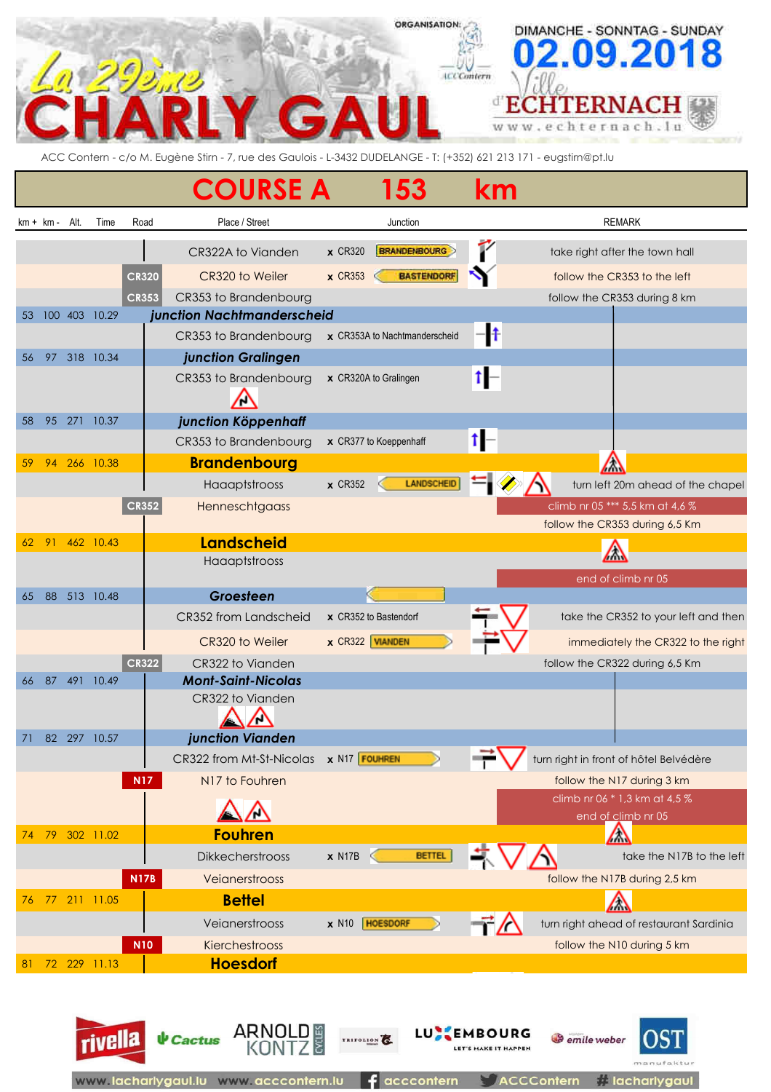#### **ORGANISATION:** DIMANCHE - SONNTAG - SUNDAY 8 0 9.20 **ICCContern** ď Е **CHTERNAC** ЯН nach.lu hter W W W  $\mathbf{a}$ è

ACC Contern - c/o M. Eugène Stirn - 7, rue des Gaulois - L-3432 DUDELANGE - T: (+352) 621 213 171 - eugstirn@pt.lu

|    |                 |         |                 |              | <b>COURSE A</b>                        | 53                               | km                   |                                                     |
|----|-----------------|---------|-----------------|--------------|----------------------------------------|----------------------------------|----------------------|-----------------------------------------------------|
|    | $km + km - Alt$ |         | Time            | Road         | Place / Street                         | Junction                         |                      | <b>REMARK</b>                                       |
|    |                 |         |                 |              | CR322A to Vianden                      | <b>BRANDENBOURG</b><br>$x$ CR320 | ľ                    | take right after the town hall                      |
|    |                 |         |                 | <b>CR320</b> | CR320 to Weiler                        | <b>BASTENDORF</b><br>$x$ CR353   |                      | follow the CR353 to the left                        |
|    |                 |         |                 | <b>CR353</b> | CR353 to Brandenbourg                  |                                  |                      | follow the CR353 during 8 km                        |
| 53 |                 | 100 403 | 10.29           |              | junction Nachtmanderscheid             |                                  |                      |                                                     |
|    |                 |         |                 |              | CR353 to Brandenbourg                  | x CR353A to Nachtmanderscheid    | -lŧ                  |                                                     |
| 56 | 97              |         | 318 10.34       |              | junction Gralingen                     |                                  |                      |                                                     |
|    |                 |         |                 |              | CR353 to Brandenbourg                  | x CR320A to Gralingen            | 1⊩                   |                                                     |
| 58 |                 |         | 95 271 10.37    |              | junction Köppenhaff                    |                                  |                      |                                                     |
|    |                 |         |                 |              | CR353 to Brandenbourg                  | x CR377 to Koeppenhaff           |                      |                                                     |
| 59 |                 |         | 94 266 10.38    |              | <b>Brandenbourg</b>                    |                                  |                      | $\sqrt{}$                                           |
|    |                 |         |                 |              | Haaaptstrooss                          | LANDSCHEID<br>$x$ CR352          |                      | turn left 20m ahead of the chapel                   |
|    |                 |         |                 | CR352        | Henneschtgaass                         |                                  |                      | climb nr 05 *** 5,5 km at 4,6 %                     |
|    |                 |         |                 |              |                                        |                                  |                      | follow the CR353 during 6,5 Km                      |
|    |                 |         | 62 91 462 10.43 |              | <b>Landscheid</b>                      |                                  |                      | $\sqrt{}$                                           |
|    |                 |         |                 |              | Haaaptstrooss                          |                                  |                      | end of climb nr 05                                  |
| 65 | 88              |         | 513 10.48       |              | Groesteen                              |                                  |                      |                                                     |
|    |                 |         |                 |              | CR352 from Landscheid                  | x CR352 to Bastendorf            |                      | take the CR352 to your left and then                |
|    |                 |         |                 |              | CR320 to Weiler                        | x CR322 VIANDEN                  |                      | immediately the CR322 to the right                  |
|    |                 |         |                 | <b>CR322</b> | CR322 to Vianden                       |                                  |                      | follow the CR322 during 6,5 Km                      |
| 66 | 87              | 491     | 10.49           |              | <b>Mont-Saint-Nicolas</b>              |                                  |                      |                                                     |
|    |                 |         |                 |              | CR322 to Vianden                       |                                  |                      |                                                     |
| 71 |                 |         | 82 297 10.57    |              | junction Vianden                       |                                  |                      |                                                     |
|    |                 |         |                 |              | CR322 from Mt-St-Nicolas x N17 FOUHREN |                                  | $\rightarrow$ $\tau$ | turn right in front of hôtel Belvédère              |
|    |                 |         |                 | <b>N17</b>   | N17 to Fouhren                         |                                  |                      | follow the N17 during 3 km                          |
|    |                 |         |                 |              |                                        |                                  |                      | climb nr 06 * 1,3 km at 4,5 %<br>end of climb nr 05 |
| 74 | 79              |         | 302 11.02       |              | <b>Fouhren</b>                         |                                  |                      | $\sqrt{}$                                           |
|    |                 |         |                 |              | Dikkecherstrooss                       | <b>BETTEL</b><br>$x$ N17B        |                      | take the N17B to the left                           |
|    |                 |         |                 | <b>N17B</b>  | Veianerstrooss                         |                                  |                      | follow the N17B during 2,5 km                       |
| 76 | 77              |         | 211 11.05       |              | <b>Bettel</b>                          |                                  |                      | $\bigtriangleup$                                    |
|    |                 |         |                 |              | Veianerstrooss                         | x N10   HOESDORF                 |                      | turn right ahead of restaurant Sardinia             |
|    |                 |         |                 | <b>N10</b>   | Kierchestrooss                         |                                  |                      | follow the N10 during 5 km                          |
| 81 |                 |         | 72 229 11.13    |              | <b>Hoesdorf</b>                        |                                  |                      |                                                     |

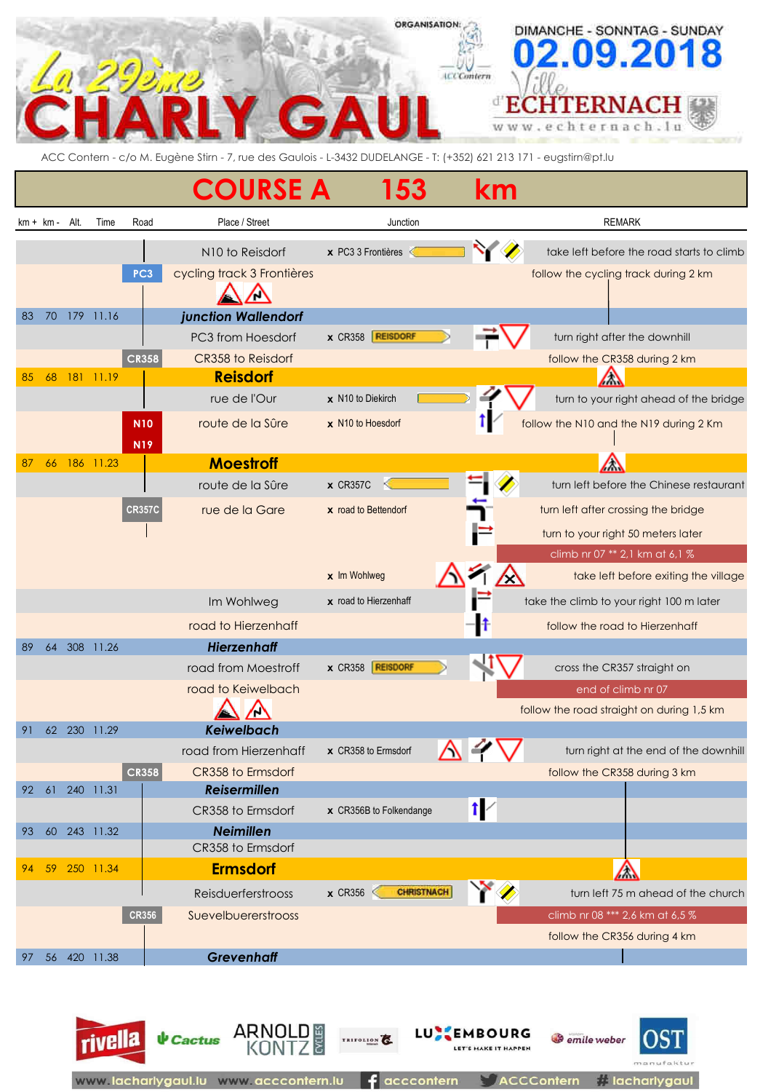# **ORGANISATION:** DIMANCHE - SONNTAG - SUNDAY  $.09.201$ **ICCContern** ECHTERNA chternac ACC Contern - c/o M. Eugène Stirn - 7, rue des Gaulois - L-3432 DUDELANGE - T: (+352) 621 213 171 - eugstirn@pt.lu **COURSE A 153 km** km + km - Alt. Time Road Place / Street Junction Junction REMARK N10 to Reisdorf **x** PC3 3 Frontières **that is a start of the Second Starts of the road starts to climb PC3** cycling track 3 Frontières **follow** the cycling track during 2 km ハ 83 70 179 11.16 *junction Wallendorf* PC3 from Hoesdorf **x** CR358 **REISDORF x x REISDORF x x x REISDORF x x x REISDORF x x x REISDORF x x x R CR358** CR358 to Reisdorf *CR358* to Reisdorf **follow the CR358 during 2 km** 85 68 181 11.19 **Reisdorf** Λ **rue de l'Our x** N10 to Diekirch **LETERON CONSECTED** turn to your right ahead of the bridge **N10** route de la Sûre **x** N10 to Hoesdorf **follow** the N10 and the N19 during 2 Km **N19** 87 66 186 11.23 **Moestroff** Λ route de la Sûre x CR357C **x** CR357C **turn left before the Chinese restaurant CR357C** rue de la Gare **x** road to Bettendorf turn left after crossing the bridge turn to your right 50 meters later climb nr 07 \*\* 2,1 km at 6,1 % **x** Im Wohlweg **take left before exiting the village** Im Wohlweg **x** road to Hierzenhaff take the climb to your right 100 m later road to Hierzenhaff follow the road to Hierzenhaff follow the road to Hierzenhaff 89 64 308 11.26 *Hierzenhaff* road from Moestroff **x** CR358 **REISDORF CONSTRAINING CONSTRAINING CONSTRAINING CONSTRAINING CONSTRAINING CONSTRAINING CONSTRAINING CONSTRAINING CONSTRAINING CONSTRAINING CONSTRAINING CONSTRAINING CONSTRAINING CONSTRAININ road to Keiwelbach end of climb nr 07** and of climb nr 07 ⁄\ follow the road straight on during 1,5 km 91 62 230 11.29 *Keiwelbach* road from Hierzenhaff **x** CR358 to Ermsdorf **A A T** turn right at the end of the downhill **CR358** CR358 to Ermsdorf **CR358** to Ermsdorf **follow the CR358 during 3 km** 92 61 240 11.31 *Reisermillen*  $\uparrow$ CR358 to Ermsdorf **x** CR356B to Folkendange 93 60 243 11.32 *Neimillen* CR358 to Ermsdorf 94 59 250 11.34 **Ermsdorf** Λ Reisduerferstrooss x CR356 **CHRISTNACH** WAS turn left 75 m ahead of the church **CR356** Suevelbuererstrooss climb nr 08 \*\*\* 2,6 km at 6,5 %

follow the CR356 during 4 km 97 56 420 11.38 *Grevenhaff*

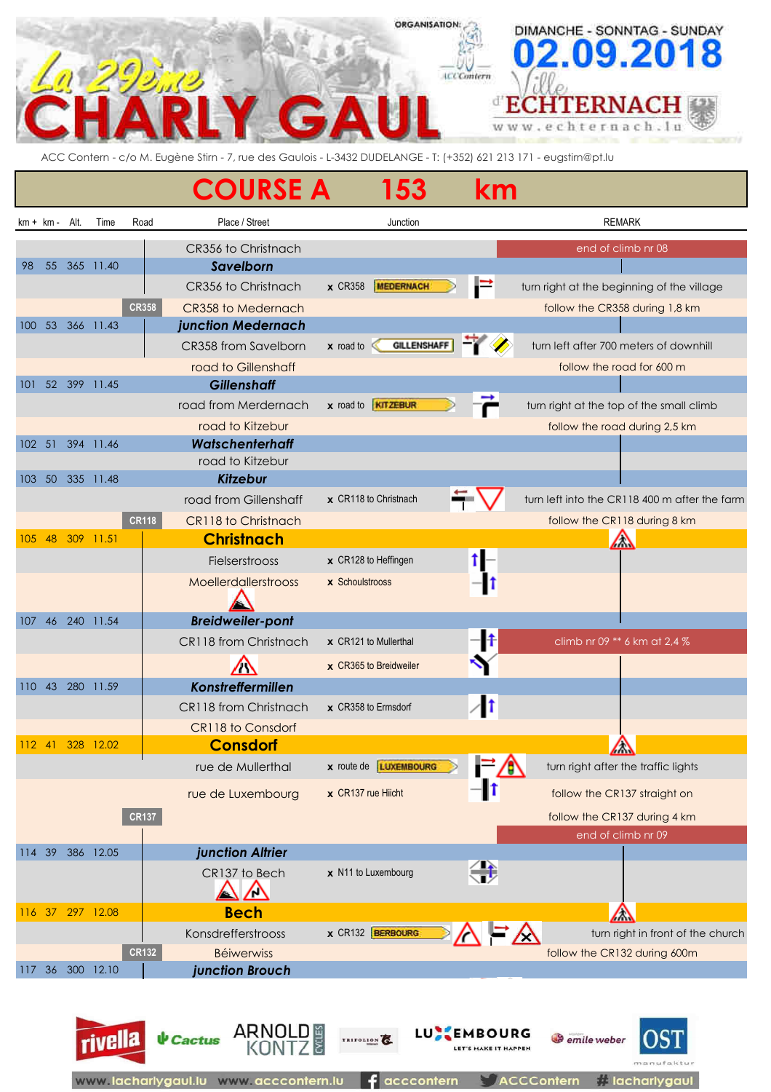## ORGANISATION DIMANCHE - SONNTAG - SUNDAY **ICCContern** ď ECHTERN nach.lu ht e r W W

ACC Contern - c/o M. Eugène Stirn - 7, rue des Gaulois - L-3432 DUDELANGE - T: (+352) 621 213 171 - eugstirn@pt.lu

|            |             |      |                  |              | <b>COURSE A</b>                            | 153                                |                       | km                                           |                                               |
|------------|-------------|------|------------------|--------------|--------------------------------------------|------------------------------------|-----------------------|----------------------------------------------|-----------------------------------------------|
|            | $km + km -$ | Alt. | Time             | Road         | Place / Street                             | Junction                           |                       |                                              | <b>REMARK</b>                                 |
| 98         | 55          |      | 365 11.40        |              | CR356 to Christnach<br>Savelborn           |                                    |                       |                                              | end of climb nr 08                            |
|            |             |      |                  |              | CR356 to Christnach                        | <b>x</b> CR358<br><b>MEDERNACH</b> | Ē                     |                                              | turn right at the beginning of the village    |
|            |             |      | 100 53 366 11.43 | <b>CR358</b> | CR358 to Medernach<br>junction Medernach   |                                    |                       |                                              | follow the CR358 during 1,8 km                |
|            |             |      |                  |              | CR358 from Savelborn                       | $x$ road to                        | <b>GILLENSHAFF</b>    |                                              | turn left after 700 meters of downhill        |
|            |             |      |                  |              |                                            |                                    |                       |                                              |                                               |
| 101        |             |      | 52 399 11.45     |              | road to Gillenshaff<br><b>Gillenshaff</b>  |                                    |                       |                                              | follow the road for 600 m                     |
|            |             |      |                  |              | road from Merdernach                       | x road to <b>KITZEBUR</b>          |                       |                                              | turn right at the top of the small climb      |
|            |             |      |                  |              |                                            |                                    |                       |                                              |                                               |
|            | $102 - 51$  |      | 394 11.46        |              | road to Kitzebur<br><b>Watschenterhaff</b> |                                    |                       |                                              | follow the road during 2,5 km                 |
|            |             |      |                  |              | road to Kitzebur                           |                                    |                       |                                              |                                               |
| 103        |             |      | 50 335 11.48     |              | <b>Kitzebur</b>                            |                                    |                       |                                              |                                               |
|            |             |      |                  |              | road from Gillenshaff                      | x CR118 to Christnach              |                       |                                              | turn left into the CR118 400 m after the farm |
|            |             |      |                  | <b>CR118</b> | CR118 to Christnach                        |                                    |                       |                                              | follow the CR118 during 8 km                  |
| 105        | 48          | 309  | 11.51            |              | <b>Christnach</b>                          |                                    |                       |                                              | △                                             |
|            |             |      |                  |              | Fielserstrooss                             | x CR128 to Heffingen               |                       |                                              |                                               |
|            |             |      |                  |              | Moellerdallerstrooss                       | x Schoulstrooss                    |                       |                                              |                                               |
| 107        |             |      | 46 240 11.54     |              | <b>Breidweiler-pont</b>                    |                                    |                       |                                              |                                               |
|            |             |      |                  |              | CR118 from Christnach                      | x CR121 to Mullerthal              | -11                   |                                              | climb nr 09 ** 6 km at 2,4 %                  |
|            |             |      |                  |              |                                            | x CR365 to Breidweiler             |                       |                                              |                                               |
| $110^{-1}$ | 43          |      | 280 11.59        |              | Konstreffermillen                          |                                    |                       |                                              |                                               |
|            |             |      |                  |              | CR118 from Christnach                      | x CR358 to Ermsdorf                | 11                    |                                              |                                               |
|            |             |      |                  |              | CR118 to Consdorf                          |                                    |                       |                                              |                                               |
|            | $112$ 41    |      | 328 12.02        |              | <b>Consdorf</b>                            |                                    |                       |                                              | △<br><b>Anny</b>                              |
|            |             |      |                  |              | rue de Mullerthal                          | x route de <b>LUXEMBOURG</b>       |                       |                                              | turn right after the traffic lights           |
|            |             |      |                  |              | rue de Luxembourg                          | $\times$ CR137 rue Hiicht          |                       |                                              | follow the CR137 straight on                  |
|            |             |      |                  | <b>CR137</b> |                                            |                                    |                       |                                              | follow the CR137 during 4 km                  |
|            |             |      |                  |              |                                            |                                    |                       |                                              | end of climb nr 09                            |
|            | 114 39      |      | 386 12.05        |              | junction Altrier                           |                                    |                       |                                              |                                               |
|            |             |      |                  |              | CR137 to Bech                              | x N11 to Luxembourg                | 等                     |                                              |                                               |
|            | 116 37      |      | 297 12.08        |              | <b>Bech</b>                                |                                    |                       |                                              | $\sqrt{}$                                     |
|            |             |      |                  |              | Konsdrefferstrooss                         | x CR132 BERBOURG                   |                       |                                              | turn right in front of the church             |
|            |             |      |                  | <b>CR132</b> | <b>Béiwerwiss</b>                          |                                    |                       |                                              | follow the CR132 during 600m                  |
|            |             |      | 117 36 300 12.10 |              | junction Brouch                            |                                    |                       |                                              |                                               |
|            |             |      | <b>rivella</b>   |              | ARNO<br>$\psi$ Cactus                      | TRIFOLION                          | LU.<br><b>EMBOURG</b> | <b>S</b> emile weber<br>LET'S MAKE IT HAPPEN |                                               |

 $f$  acccontern

**// lacharlygaul** 

**ACCContern** 

www.lacharlygaul.lu www.acccontern.lu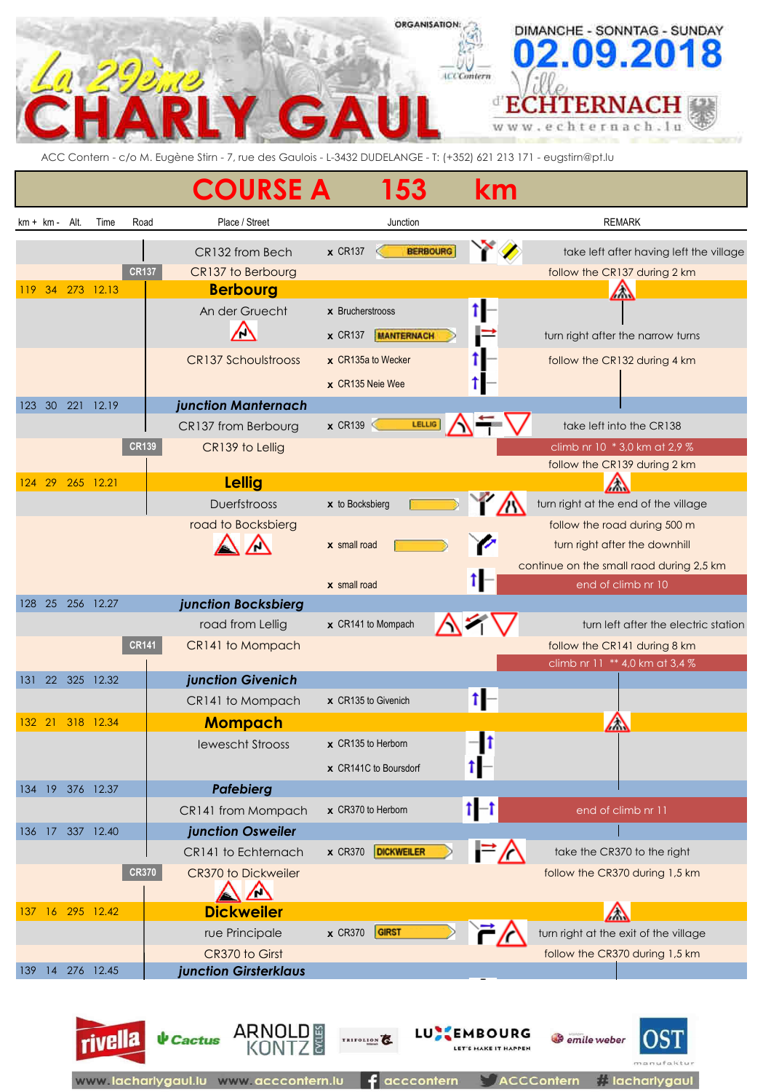## **ORGANISATION:** DIMANCHE - SONNTAG - SUNDAY **ICCContern** ď **TERN** Е ach.lu W W  $\alpha$ ACC Contern - c/o M. Eugène Stirn - 7, rue des Gaulois - L-3432 DUDELANGE - T: (+352) 621 213 171 - eugstirn@pt.lu

|             |   |            |                  | <b>COURSE A</b>                            | 53                                  | km                                        |                                                                         |
|-------------|---|------------|------------------|--------------------------------------------|-------------------------------------|-------------------------------------------|-------------------------------------------------------------------------|
| $km + km -$ |   | Alt.       | Road<br>Time     | Place / Street                             | Junction                            |                                           | <b>REMARK</b>                                                           |
|             |   |            | <b>CR137</b>     | CR132 from Bech<br>CR137 to Berbourg       | <b>BERBOURG</b><br>$x$ CR137        |                                           | take left after having left the village<br>follow the CR137 during 2 km |
| 119         |   |            | 34 273 12.13     | <b>Berbourg</b><br>An der Gruecht          | $x$ Brucherstrooss                  |                                           | △                                                                       |
|             |   |            |                  |                                            | <b>MANTERNACH</b><br>$\times$ CR137 |                                           | turn right after the narrow turns                                       |
|             |   |            |                  | <b>CR137 Schoulstrooss</b>                 | x CR135a to Wecker                  |                                           | follow the CR132 during 4 km                                            |
|             |   |            |                  |                                            | x CR135 Neie Wee                    |                                           |                                                                         |
|             |   | 123 30 221 | 12.19            | junction Manternach                        |                                     |                                           |                                                                         |
|             |   |            |                  | CR137 from Berbourg                        | LELLIG<br>$\times$ CR139            |                                           | take left into the CR138                                                |
|             |   |            | <b>CR139</b>     | CR139 to Lellig                            |                                     |                                           | climb nr 10 * 3,0 km at 2,9 %<br>follow the CR139 during 2 km           |
| 124 29      |   |            | 265 12.21        | <b>Lellig</b>                              |                                     |                                           | ΛW                                                                      |
|             |   |            |                  | <b>Duerfstrooss</b>                        | x to Bocksbierg                     |                                           | turn right at the end of the village                                    |
|             |   |            |                  | road to Bocksbierg                         |                                     |                                           | follow the road during 500 m                                            |
|             |   |            |                  |                                            | $x$ small road                      |                                           | turn right after the downhill                                           |
|             |   |            |                  |                                            |                                     |                                           | continue on the small raod during 2,5 km                                |
|             |   |            |                  |                                            | $x$ small road                      |                                           | end of climb nr 10                                                      |
|             |   |            | 128 25 256 12.27 | junction Bocksbierg<br>road from Lellig    | x CR141 to Mompach                  |                                           | turn left after the electric station                                    |
|             |   |            | <b>CR141</b>     | CR141 to Mompach                           |                                     |                                           | follow the CR141 during 8 km                                            |
|             |   |            |                  |                                            |                                     |                                           | climb nr 11 ** 4,0 km at 3,4 %                                          |
|             |   |            | 131 22 325 12.32 | junction Givenich                          |                                     |                                           |                                                                         |
|             |   |            |                  | CR141 to Mompach                           | x CR135 to Givenich                 |                                           |                                                                         |
| 132 21      |   |            | 318 12.34        | <b>Mompach</b>                             |                                     |                                           | $\sqrt{}$                                                               |
|             |   |            |                  | <b>lewescht Strooss</b>                    | $\times$ CR135 to Herborn           |                                           |                                                                         |
|             |   |            |                  |                                            | $\times$ CR141C to Boursdorf        |                                           |                                                                         |
| 134         |   |            | 19 376 12.37     | <b>Pafebierg</b>                           |                                     |                                           |                                                                         |
|             |   |            |                  | CR141 from Mompach                         | x CR370 to Herborn                  | $t - t$                                   | end of climb nr 11                                                      |
| 136         |   |            | 17 337 12.40     | junction Osweiler                          | <b>x</b> CR370                      |                                           |                                                                         |
|             |   |            | <b>CR370</b>     | CR141 to Echternach<br>CR370 to Dickweiler | <b>DICKWEILER</b>                   |                                           | take the CR370 to the right<br>follow the CR370 during 1,5 km           |
|             |   |            |                  | <u>/ \</u>                                 |                                     |                                           |                                                                         |
|             |   |            | 137 16 295 12.42 | <b>Dickweiler</b>                          |                                     |                                           | ╱╲                                                                      |
|             |   |            |                  | rue Principale                             | GIRST<br><b>x</b> CR370             |                                           | turn right at the exit of the village                                   |
|             |   |            |                  | CR370 to Girst                             |                                     |                                           | follow the CR370 during 1,5 km                                          |
| 139         | 4 |            | 276 12.45        | junction Girsterklaus                      |                                     |                                           |                                                                         |
|             |   |            | rivella          | <b>V</b> Cactus ARNOLD                     | TRIFOLION                           | <b>LUCEMBOURG</b><br>LET'S MAKE IT HAPPEN | JS.<br>emile weber                                                      |

www.acccontern.lu

www.lacharlygau

ontern

**i** lacharlygaul

acccontern